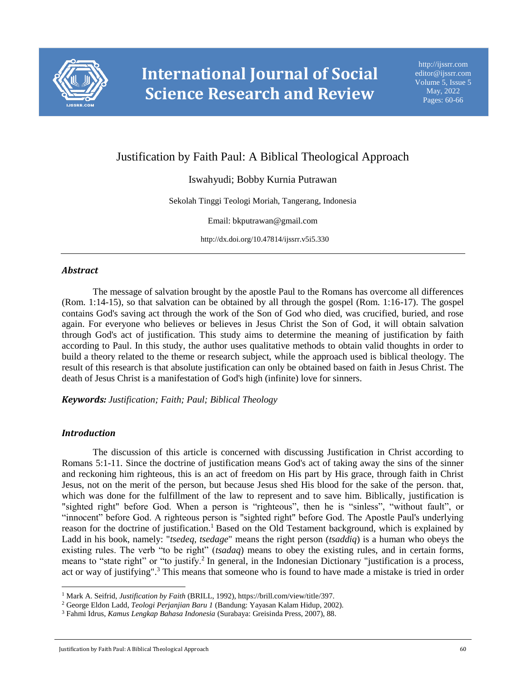

# Justification by Faith Paul: A Biblical Theological Approach

# Iswahyudi; Bobby Kurnia Putrawan

Sekolah Tinggi Teologi Moriah, Tangerang, Indonesia

Email: bkputrawan@gmail.com

http://dx.doi.org/10.47814/ijssrr.v5i5.330

## *Abstract*

The message of salvation brought by the apostle Paul to the Romans has overcome all differences (Rom. 1:14-15), so that salvation can be obtained by all through the gospel (Rom. 1:16-17). The gospel contains God's saving act through the work of the Son of God who died, was crucified, buried, and rose again. For everyone who believes or believes in Jesus Christ the Son of God, it will obtain salvation through God's act of justification. This study aims to determine the meaning of justification by faith according to Paul. In this study, the author uses qualitative methods to obtain valid thoughts in order to build a theory related to the theme or research subject, while the approach used is biblical theology. The result of this research is that absolute justification can only be obtained based on faith in Jesus Christ. The death of Jesus Christ is a manifestation of God's high (infinite) love for sinners.

#### *Keywords: Justification; Faith; Paul; Biblical Theology*

#### *Introduction*

l

The discussion of this article is concerned with discussing Justification in Christ according to Romans 5:1-11. Since the doctrine of justification means God's act of taking away the sins of the sinner and reckoning him righteous, this is an act of freedom on His part by His grace, through faith in Christ Jesus, not on the merit of the person, but because Jesus shed His blood for the sake of the person. that, which was done for the fulfillment of the law to represent and to save him. Biblically, justification is "sighted right" before God. When a person is "righteous", then he is "sinless", "without fault", or "innocent" before God. A righteous person is "sighted right" before God. The Apostle Paul's underlying reason for the doctrine of justification.<sup>1</sup> Based on the Old Testament background, which is explained by Ladd in his book, namely: "*tsedeq, tsedage*" means the right person (*tsaddiq*) is a human who obeys the existing rules. The verb "to be right" (*tsadaq*) means to obey the existing rules, and in certain forms, means to "state right" or "to justify.<sup>2</sup> In general, in the Indonesian Dictionary "justification is a process, act or way of justifying".<sup>3</sup> This means that someone who is found to have made a mistake is tried in order

<sup>1</sup> Mark A. Seifrid, *Justification by Faith* (BRILL, 1992), https://brill.com/view/title/397.

<sup>2</sup> George Eldon Ladd, *Teologi Perjanjian Baru 1* (Bandung: Yayasan Kalam Hidup, 2002).

<sup>3</sup> Fahmi Idrus, *Kamus Lengkap Bahasa Indonesia* (Surabaya: Greisinda Press, 2007), 88.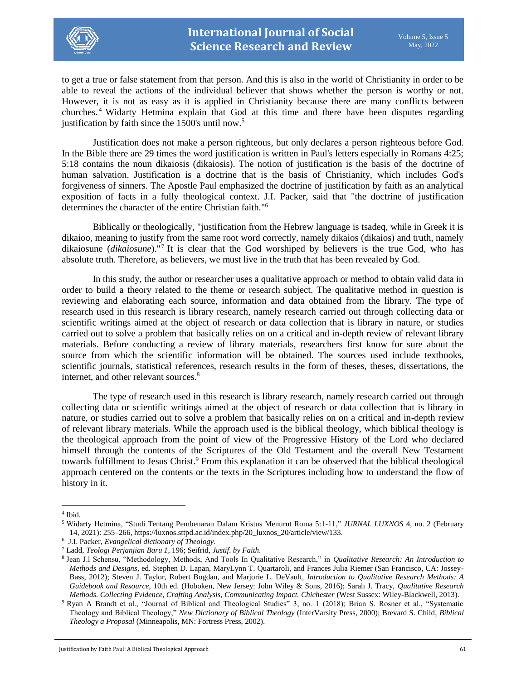

to get a true or false statement from that person. And this is also in the world of Christianity in order to be able to reveal the actions of the individual believer that shows whether the person is worthy or not. However, it is not as easy as it is applied in Christianity because there are many conflicts between churches. <sup>4</sup> Widarty Hetmina explain that God at this time and there have been disputes regarding justification by faith since the 1500's until now.<sup>5</sup>

Justification does not make a person righteous, but only declares a person righteous before God. In the Bible there are 29 times the word justification is written in Paul's letters especially in Romans 4:25; 5:18 contains the noun dikaiosis (dikaiosis). The notion of justification is the basis of the doctrine of human salvation. Justification is a doctrine that is the basis of Christianity, which includes God's forgiveness of sinners. The Apostle Paul emphasized the doctrine of justification by faith as an analytical exposition of facts in a fully theological context. J.I. Packer, said that "the doctrine of justification determines the character of the entire Christian faith."<sup>6</sup>

Biblically or theologically, "justification from the Hebrew language is tsadeq, while in Greek it is dikaioo, meaning to justify from the same root word correctly, namely dikaios (dikaios) and truth, namely dikaiosune (*dikaiosune*)."<sup>7</sup> It is clear that the God worshiped by believers is the true God, who has absolute truth. Therefore, as believers, we must live in the truth that has been revealed by God.

In this study, the author or researcher uses a qualitative approach or method to obtain valid data in order to build a theory related to the theme or research subject. The qualitative method in question is reviewing and elaborating each source, information and data obtained from the library. The type of research used in this research is library research, namely research carried out through collecting data or scientific writings aimed at the object of research or data collection that is library in nature, or studies carried out to solve a problem that basically relies on on a critical and in-depth review of relevant library materials. Before conducting a review of library materials, researchers first know for sure about the source from which the scientific information will be obtained. The sources used include textbooks, scientific journals, statistical references, research results in the form of theses, theses, dissertations, the internet, and other relevant sources.<sup>8</sup>

The type of research used in this research is library research, namely research carried out through collecting data or scientific writings aimed at the object of research or data collection that is library in nature, or studies carried out to solve a problem that basically relies on on a critical and in-depth review of relevant library materials. While the approach used is the biblical theology, which biblical theology is the theological approach from the point of view of the Progressive History of the Lord who declared himself through the contents of the Scriptures of the Old Testament and the overall New Testament towards fulfillment to Jesus Christ.<sup>9</sup> From this explanation it can be observed that the biblical theological approach centered on the contents or the texts in the Scriptures including how to understand the flow of history in it.

 $\overline{\phantom{a}}$ 

<sup>4</sup> Ibid.

<sup>5</sup> Widarty Hetmina, "Studi Tentang Pembenaran Dalam Kristus Menurut Roma 5:1-11," *JURNAL LUXNOS* 4, no. 2 (February 14, 2021): 255–266, https://luxnos.sttpd.ac.id/index.php/20\_luxnos\_20/article/view/133.

<sup>6</sup> J.I. Packer, *Evangelical dictionary of Theology*.

<sup>7</sup> Ladd, *Teologi Perjanjian Baru 1*, 196; Seifrid, *Justif. by Faith*.

<sup>8</sup> Jean J.l Schensu, "Methodology, Methods, And Tools In Qualitative Research," in *Qualitative Research: An Introduction to Methods and Designs*, ed. Stephen D. Lapan, MaryLynn T. Quartaroli, and Frances Julia Riemer (San Francisco, CA: Jossey-Bass, 2012); Steven J. Taylor, Robert Bogdan, and Marjorie L. DeVault, *Introduction to Qualitative Research Methods: A Guidebook and Resource*, 10th ed. (Hoboken, New Jersey: John Wiley & Sons, 2016); Sarah J. Tracy, *Qualitative Research Methods. Collecting Evidence, Crafting Analysis, Communicating Impact. Chichester* (West Sussex: Wiley-Blackwell, 2013).

<sup>9</sup> Ryan A Brandt et al., "Journal of Biblical and Theological Studies" 3, no. 1 (2018); Brian S. Rosner et al., "Systematic Theology and Biblical Theology," *New Dictionary of Biblical Theology* (InterVarsity Press, 2000); Brevard S. Child, *Biblical Theology a Proposal* (Minneapolis, MN: Fortress Press, 2002).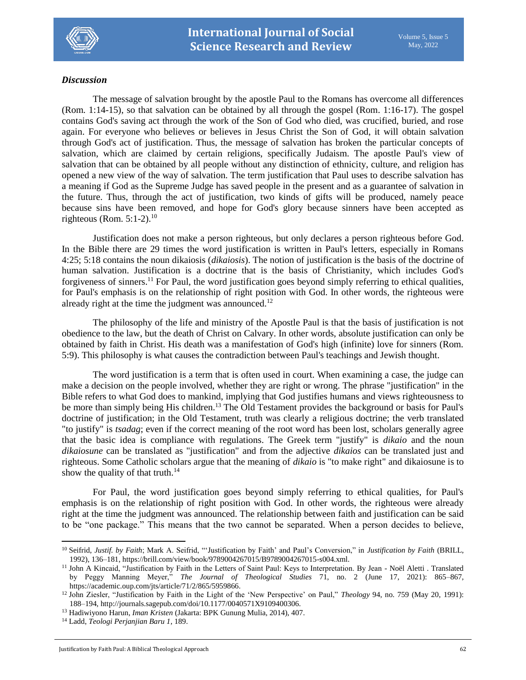

# *Discussion*

The message of salvation brought by the apostle Paul to the Romans has overcome all differences (Rom. 1:14-15), so that salvation can be obtained by all through the gospel (Rom. 1:16-17). The gospel contains God's saving act through the work of the Son of God who died, was crucified, buried, and rose again. For everyone who believes or believes in Jesus Christ the Son of God, it will obtain salvation through God's act of justification. Thus, the message of salvation has broken the particular concepts of salvation, which are claimed by certain religions, specifically Judaism. The apostle Paul's view of salvation that can be obtained by all people without any distinction of ethnicity, culture, and religion has opened a new view of the way of salvation. The term justification that Paul uses to describe salvation has a meaning if God as the Supreme Judge has saved people in the present and as a guarantee of salvation in the future. Thus, through the act of justification, two kinds of gifts will be produced, namely peace because sins have been removed, and hope for God's glory because sinners have been accepted as righteous (Rom.  $5:1-2$ ).<sup>10</sup>

Justification does not make a person righteous, but only declares a person righteous before God. In the Bible there are 29 times the word justification is written in Paul's letters, especially in Romans 4:25; 5:18 contains the noun dikaiosis (*dikaiosis*). The notion of justification is the basis of the doctrine of human salvation. Justification is a doctrine that is the basis of Christianity, which includes God's forgiveness of sinners.<sup>11</sup> For Paul, the word justification goes beyond simply referring to ethical qualities, for Paul's emphasis is on the relationship of right position with God. In other words, the righteous were already right at the time the judgment was announced. $12$ 

The philosophy of the life and ministry of the Apostle Paul is that the basis of justification is not obedience to the law, but the death of Christ on Calvary. In other words, absolute justification can only be obtained by faith in Christ. His death was a manifestation of God's high (infinite) love for sinners (Rom. 5:9). This philosophy is what causes the contradiction between Paul's teachings and Jewish thought.

The word justification is a term that is often used in court. When examining a case, the judge can make a decision on the people involved, whether they are right or wrong. The phrase "justification" in the Bible refers to what God does to mankind, implying that God justifies humans and views righteousness to be more than simply being His children.<sup>13</sup> The Old Testament provides the background or basis for Paul's doctrine of justification; in the Old Testament, truth was clearly a religious doctrine; the verb translated "to justify" is *tsadag*; even if the correct meaning of the root word has been lost, scholars generally agree that the basic idea is compliance with regulations. The Greek term "justify" is *dikaio* and the noun *dikaiosune* can be translated as "justification" and from the adjective *dikaios* can be translated just and righteous. Some Catholic scholars argue that the meaning of *dikaio* is "to make right" and dikaiosune is to show the quality of that truth. $14$ 

For Paul, the word justification goes beyond simply referring to ethical qualities, for Paul's emphasis is on the relationship of right position with God. In other words, the righteous were already right at the time the judgment was announced. The relationship between faith and justification can be said to be "one package." This means that the two cannot be separated. When a person decides to believe,

 $\overline{\phantom{a}}$ 

<sup>10</sup> Seifrid, *Justif. by Faith*; Mark A. Seifrid, "'Justification by Faith' and Paul's Conversion," in *Justification by Faith* (BRILL, 1992), 136–181, https://brill.com/view/book/9789004267015/B9789004267015-s004.xml.

<sup>&</sup>lt;sup>11</sup> John A Kincaid, "Justification by Faith in the Letters of Saint Paul: Keys to Interpretation. By Jean - Noël Aletti . Translated by Peggy Manning Meyer," *The Journal of Theological Studies* 71, no. 2 (June 17, 2021): 865–867, https://academic.oup.com/jts/article/71/2/865/5959866.

<sup>12</sup> John Ziesler, "Justification by Faith in the Light of the 'New Perspective' on Paul," *Theology* 94, no. 759 (May 20, 1991): 188–194, http://journals.sagepub.com/doi/10.1177/0040571X9109400306.

<sup>13</sup> Hadiwiyono Harun, *Iman Kristen* (Jakarta: BPK Gunung Mulia, 2014), 407.

<sup>14</sup> Ladd, *Teologi Perjanjian Baru 1*, 189.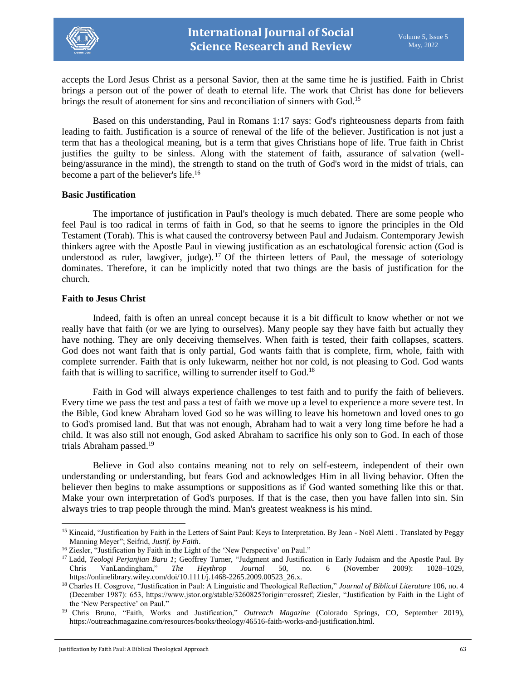

accepts the Lord Jesus Christ as a personal Savior, then at the same time he is justified. Faith in Christ brings a person out of the power of death to eternal life. The work that Christ has done for believers brings the result of atonement for sins and reconciliation of sinners with God.<sup>15</sup>

Based on this understanding, Paul in Romans 1:17 says: God's righteousness departs from faith leading to faith. Justification is a source of renewal of the life of the believer. Justification is not just a term that has a theological meaning, but is a term that gives Christians hope of life. True faith in Christ justifies the guilty to be sinless. Along with the statement of faith, assurance of salvation (wellbeing/assurance in the mind), the strength to stand on the truth of God's word in the midst of trials, can become a part of the believer's life.<sup>16</sup>

#### **Basic Justification**

The importance of justification in Paul's theology is much debated. There are some people who feel Paul is too radical in terms of faith in God, so that he seems to ignore the principles in the Old Testament (Torah). This is what caused the controversy between Paul and Judaism. Contemporary Jewish thinkers agree with the Apostle Paul in viewing justification as an eschatological forensic action (God is understood as ruler, lawgiver, judge).<sup>17</sup> Of the thirteen letters of Paul, the message of soteriology dominates. Therefore, it can be implicitly noted that two things are the basis of justification for the church.

#### **Faith to Jesus Christ**

 $\overline{\phantom{a}}$ 

Indeed, faith is often an unreal concept because it is a bit difficult to know whether or not we really have that faith (or we are lying to ourselves). Many people say they have faith but actually they have nothing. They are only deceiving themselves. When faith is tested, their faith collapses, scatters. God does not want faith that is only partial, God wants faith that is complete, firm, whole, faith with complete surrender. Faith that is only lukewarm, neither hot nor cold, is not pleasing to God. God wants faith that is willing to sacrifice, willing to surrender itself to God.<sup>18</sup>

Faith in God will always experience challenges to test faith and to purify the faith of believers. Every time we pass the test and pass a test of faith we move up a level to experience a more severe test. In the Bible, God knew Abraham loved God so he was willing to leave his hometown and loved ones to go to God's promised land. But that was not enough, Abraham had to wait a very long time before he had a child. It was also still not enough, God asked Abraham to sacrifice his only son to God. In each of those trials Abraham passed.<sup>19</sup>

Believe in God also contains meaning not to rely on self-esteem, independent of their own understanding or understanding, but fears God and acknowledges Him in all living behavior. Often the believer then begins to make assumptions or suppositions as if God wanted something like this or that. Make your own interpretation of God's purposes. If that is the case, then you have fallen into sin. Sin always tries to trap people through the mind. Man's greatest weakness is his mind.

<sup>&</sup>lt;sup>15</sup> Kincaid, "Justification by Faith in the Letters of Saint Paul: Keys to Interpretation. By Jean - Noël Aletti . Translated by Peggy Manning Meyer"; Seifrid, *Justif. by Faith*.

<sup>&</sup>lt;sup>16</sup> Ziesler, "Justification by Faith in the Light of the 'New Perspective' on Paul."

<sup>17</sup> Ladd, *Teologi Perjanjian Baru 1*; Geoffrey Turner, "Judgment and Justification in Early Judaism and the Apostle Paul. By Chris VanLandingham," *The Heythrop Journal* 50, no. 6 (November 2009): 1028–1029, https://onlinelibrary.wiley.com/doi/10.1111/j.1468-2265.2009.00523\_26.x.

<sup>18</sup> Charles H. Cosgrove, "Justification in Paul: A Linguistic and Theological Reflection," *Journal of Biblical Literature* 106, no. 4 (December 1987): 653, https://www.jstor.org/stable/3260825?origin=crossref; Ziesler, "Justification by Faith in the Light of the 'New Perspective' on Paul."

<sup>19</sup> Chris Bruno, "Faith, Works and Justification," *Outreach Magazine* (Colorado Springs, CO, September 2019), https://outreachmagazine.com/resources/books/theology/46516-faith-works-and-justification.html.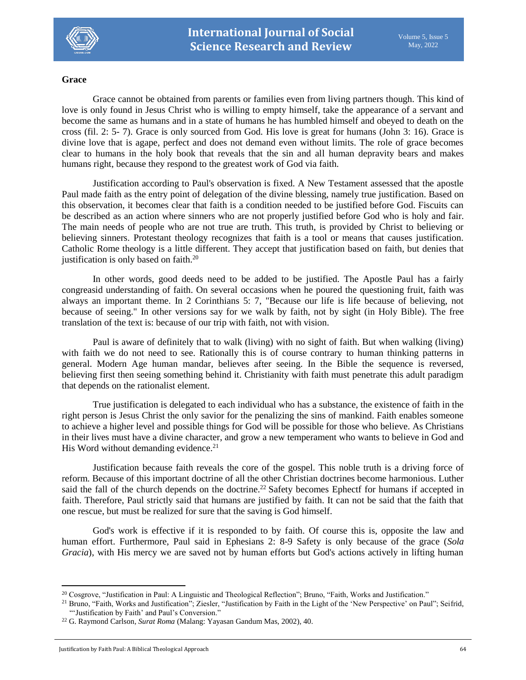

## **Grace**

Grace cannot be obtained from parents or families even from living partners though. This kind of love is only found in Jesus Christ who is willing to empty himself, take the appearance of a servant and become the same as humans and in a state of humans he has humbled himself and obeyed to death on the cross (fil. 2: 5- 7). Grace is only sourced from God. His love is great for humans (John 3: 16). Grace is divine love that is agape, perfect and does not demand even without limits. The role of grace becomes clear to humans in the holy book that reveals that the sin and all human depravity bears and makes humans right, because they respond to the greatest work of God via faith.

Justification according to Paul's observation is fixed. A New Testament assessed that the apostle Paul made faith as the entry point of delegation of the divine blessing, namely true justification. Based on this observation, it becomes clear that faith is a condition needed to be justified before God. Fiscuits can be described as an action where sinners who are not properly justified before God who is holy and fair. The main needs of people who are not true are truth. This truth, is provided by Christ to believing or believing sinners. Protestant theology recognizes that faith is a tool or means that causes justification. Catholic Rome theology is a little different. They accept that justification based on faith, but denies that justification is only based on faith.<sup>20</sup>

In other words, good deeds need to be added to be justified. The Apostle Paul has a fairly congreasid understanding of faith. On several occasions when he poured the questioning fruit, faith was always an important theme. In 2 Corinthians 5: 7, "Because our life is life because of believing, not because of seeing." In other versions say for we walk by faith, not by sight (in Holy Bible). The free translation of the text is: because of our trip with faith, not with vision.

Paul is aware of definitely that to walk (living) with no sight of faith. But when walking (living) with faith we do not need to see. Rationally this is of course contrary to human thinking patterns in general. Modern Age human mandar, believes after seeing. In the Bible the sequence is reversed, believing first then seeing something behind it. Christianity with faith must penetrate this adult paradigm that depends on the rationalist element.

True justification is delegated to each individual who has a substance, the existence of faith in the right person is Jesus Christ the only savior for the penalizing the sins of mankind. Faith enables someone to achieve a higher level and possible things for God will be possible for those who believe. As Christians in their lives must have a divine character, and grow a new temperament who wants to believe in God and His Word without demanding evidence.<sup>21</sup>

Justification because faith reveals the core of the gospel. This noble truth is a driving force of reform. Because of this important doctrine of all the other Christian doctrines become harmonious. Luther said the fall of the church depends on the doctrine.<sup>22</sup> Safety becomes Ephectf for humans if accepted in faith. Therefore, Paul strictly said that humans are justified by faith. It can not be said that the faith that one rescue, but must be realized for sure that the saving is God himself.

God's work is effective if it is responded to by faith. Of course this is, opposite the law and human effort. Furthermore, Paul said in Ephesians 2: 8-9 Safety is only because of the grace (*Sola Gracia*), with His mercy we are saved not by human efforts but God's actions actively in lifting human

 $\overline{\phantom{a}}$ 

<sup>&</sup>lt;sup>20</sup> Cosgrove, "Justification in Paul: A Linguistic and Theological Reflection"; Bruno, "Faith, Works and Justification."

<sup>&</sup>lt;sup>21</sup> Bruno, "Faith, Works and Justification"; Ziesler, "Justification by Faith in the Light of the 'New Perspective' on Paul"; Seifrid, "'Justification by Faith' and Paul's Conversion."

<sup>22</sup> G. Raymond Carlson, *Surat Roma* (Malang: Yayasan Gandum Mas, 2002)*,* 40.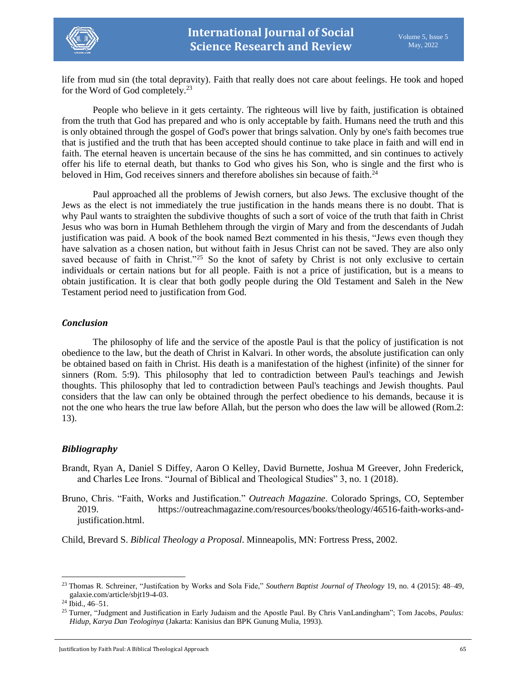

life from mud sin (the total depravity). Faith that really does not care about feelings. He took and hoped for the Word of God completely.<sup>23</sup>

People who believe in it gets certainty. The righteous will live by faith, justification is obtained from the truth that God has prepared and who is only acceptable by faith. Humans need the truth and this is only obtained through the gospel of God's power that brings salvation. Only by one's faith becomes true that is justified and the truth that has been accepted should continue to take place in faith and will end in faith. The eternal heaven is uncertain because of the sins he has committed, and sin continues to actively offer his life to eternal death, but thanks to God who gives his Son, who is single and the first who is beloved in Him, God receives sinners and therefore abolishes sin because of faith.<sup>24</sup>

Paul approached all the problems of Jewish corners, but also Jews. The exclusive thought of the Jews as the elect is not immediately the true justification in the hands means there is no doubt. That is why Paul wants to straighten the subdivive thoughts of such a sort of voice of the truth that faith in Christ Jesus who was born in Humah Bethlehem through the virgin of Mary and from the descendants of Judah justification was paid. A book of the book named Bezt commented in his thesis, "Jews even though they have salvation as a chosen nation, but without faith in Jesus Christ can not be saved. They are also only saved because of faith in Christ."<sup>25</sup> So the knot of safety by Christ is not only exclusive to certain individuals or certain nations but for all people. Faith is not a price of justification, but is a means to obtain justification. It is clear that both godly people during the Old Testament and Saleh in the New Testament period need to justification from God.

## *Conclusion*

The philosophy of life and the service of the apostle Paul is that the policy of justification is not obedience to the law, but the death of Christ in Kalvari. In other words, the absolute justification can only be obtained based on faith in Christ. His death is a manifestation of the highest (infinite) of the sinner for sinners (Rom. 5:9). This philosophy that led to contradiction between Paul's teachings and Jewish thoughts. This philosophy that led to contradiction between Paul's teachings and Jewish thoughts. Paul considers that the law can only be obtained through the perfect obedience to his demands, because it is not the one who hears the true law before Allah, but the person who does the law will be allowed (Rom.2: 13).

# *Bibliography*

- Brandt, Ryan A, Daniel S Diffey, Aaron O Kelley, David Burnette, Joshua M Greever, John Frederick, and Charles Lee Irons. "Journal of Biblical and Theological Studies" 3, no. 1 (2018).
- Bruno, Chris. "Faith, Works and Justification." *Outreach Magazine*. Colorado Springs, CO, September 2019. https://outreachmagazine.com/resources/books/theology/46516-faith-works-andjustification.html.

Child, Brevard S. *Biblical Theology a Proposal*. Minneapolis, MN: Fortress Press, 2002.

l

<sup>23</sup> Thomas R. Schreiner, "Justifcation by Works and Sola Fide," *Southern Baptist Journal of Theology* 19, no. 4 (2015): 48–49, galaxie.com/article/sbjt19-4-03.

 $^{24}$  Ibid., 46–51.

<sup>25</sup> Turner, "Judgment and Justification in Early Judaism and the Apostle Paul. By Chris VanLandingham"; Tom Jacobs, *Paulus: Hidup, Karya Dan Teologinya* (Jakarta: Kanisius dan BPK Gunung Mulia, 1993).